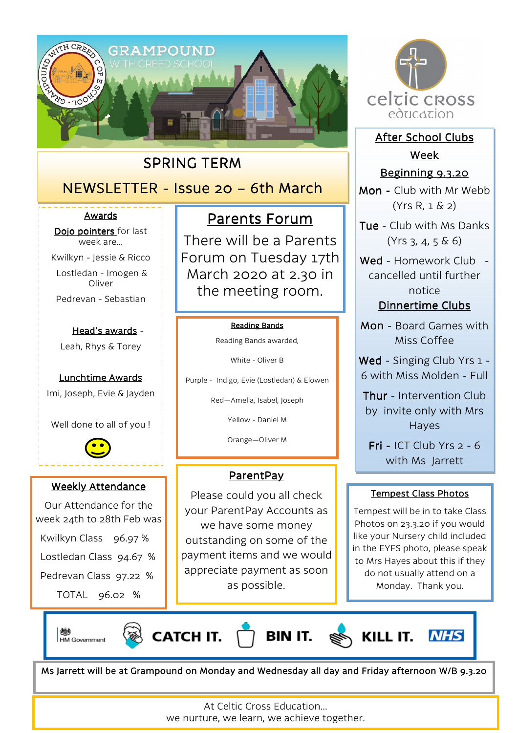

## SPRING TERM

# NEWSLETTER - Issue 20 – 6th March

#### Awards

Dojo pointers for last week are…

Kwilkyn - Jessie & Ricco

 Lostledan - Imogen & **Oliver** 

Pedrevan - Sebastian

#### Head's awards -

Leah, Rhys & Torey

Lunchtime Awards Imi, Joseph, Evie & Jayden

Well done to all of you !



#### Weekly Attendance

Our Attendance for the week 24th to 28th Feb was

Kwilkyn Class 96.97 %

Lostledan Class 94.67 %

Pedrevan Class 97.22 %

TOTAL 96.02 %

# Parents Forum

There will be a Parents Forum on Tuesday 17th March 2020 at 2.30 in the meeting room.

#### **Reading Bands**

Reading Bands awarded,

White - Oliver B

Purple - Indigo, Evie (Lostledan) & Elowen

Red—Amelia, Isabel, Joseph

Yellow - Daniel M

Orange—Oliver M

#### ParentPay

Please could you all check your ParentPay Accounts as we have some money outstanding on some of the payment items and we would appreciate payment as soon as possible.



After School Clubs Week

#### Beginning 9.3.20

Mon - Club with Mr Webb (Yrs R, 1 & 2)

Tue - Club with Ms Danks  $(Yrs 3, 4, 5 \& 6)$ 

Wed - Homework Club cancelled until further notice Dinnertime Clubs

Mon - Board Games with Miss Coffee

Wed - Singing Club Yrs 1 -6 with Miss Molden - Full

Thur - Intervention Club by invite only with Mrs Hayes

Fri - ICT Club Yrs  $2 - 6$ with Ms Jarrett

#### **Tempest Class Photos**

Tempest will be in to take Class Photos on 23.3.20 if you would like your Nursery child included in the EYFS photo, please speak to Mrs Hayes about this if they do not usually attend on a Monday. Thank you.

戀 HM Government





KILL IT.



Ms Jarrett will be at Grampound on Monday and Wednesday all day and Friday afternoon W/B 9.3.20

At Celtic Cross Education… we nurture, we learn, we achieve together.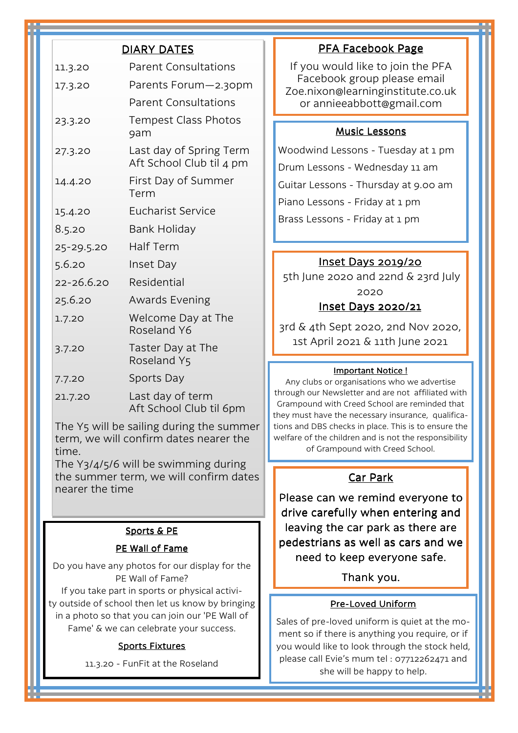|                                                                                                                                     | <b>DIARY DATES</b>                                  |
|-------------------------------------------------------------------------------------------------------------------------------------|-----------------------------------------------------|
| 11.3.20                                                                                                                             | <b>Parent Consultations</b>                         |
| 17.3.20                                                                                                                             | Parents Forum-2.30pm                                |
|                                                                                                                                     | <b>Parent Consultations</b>                         |
| 23.3.20                                                                                                                             | <b>Tempest Class Photos</b><br>9am                  |
| 27.3.20                                                                                                                             | Last day of Spring Term<br>Aft School Club til 4 pm |
| 14.4.20                                                                                                                             | First Day of Summer<br>Term                         |
| 15.4.20                                                                                                                             | <b>Eucharist Service</b>                            |
| 8.5.20                                                                                                                              | Bank Holiday                                        |
| 25-29.5.20                                                                                                                          | <b>Half Term</b>                                    |
| 5.6.20                                                                                                                              | Inset Day                                           |
| 22-26.6.20                                                                                                                          | Residential                                         |
| 25.6.20                                                                                                                             | <b>Awards Evening</b>                               |
| 1.7.20                                                                                                                              | Welcome Day at The<br>Roseland Y6                   |
| 3.7.20                                                                                                                              | Taster Day at The<br>Roseland Y5                    |
| 7.7.20                                                                                                                              | Sports Day                                          |
| 21.7.20                                                                                                                             | Last day of term<br>Aft School Club til 6pm         |
| The Y5 will be sailing during the summer<br>term, we will confirm dates nearer the<br>time.<br>The Y3/4/5/6 will be swimming during |                                                     |
|                                                                                                                                     |                                                     |

the summer term, we will confirm dates nearer the time

#### Sports & PE

#### PE Wall of Fame

Do you have any photos for our display for the PE Wall of Fame?

If you take part in sports or physical activity outside of school then let us know by bringing in a photo so that you can join our 'PE Wall of Fame' & we can celebrate your success.

#### **Sports Fixtures**

11.3.20 - FunFit at the Roseland

#### PFA Facebook Page

If you would like to join the PFA Facebook group please email Zoe.nixon@learninginstitute.co.uk or annieeabbott@gmail.com

#### **Music Lessons**

Woodwind Lessons - Tuesday at 1 pm Drum Lessons - Wednesday 11 am Guitar Lessons - Thursday at 9.00 am Piano Lessons - Friday at 1 pm Brass Lessons - Friday at 1 pm

#### Inset Days 2019/20

 5th June 2020 and 22nd & 23rd July 2020 Inset Days 2020/21

3rd & 4th Sept 2020, 2nd Nov 2020, 1st April 2021 & 11th June 2021

#### Important Notice !

Any clubs or organisations who we advertise through our Newsletter and are not affiliated with Grampound with Creed School are reminded that they must have the necessary insurance, qualifications and DBS checks in place. This is to ensure the welfare of the children and is not the responsibility of Grampound with Creed School.

#### Car Park

Please can we remind everyone to drive carefully when entering and leaving the car park as there are pedestrians as well as cars and we need to keep everyone safe.

#### Thank you.

#### Pre-Loved Uniform

Sales of pre-loved uniform is quiet at the moment so if there is anything you require, or if you would like to look through the stock held, please call Evie's mum tel : 07712262471 and she will be happy to help.